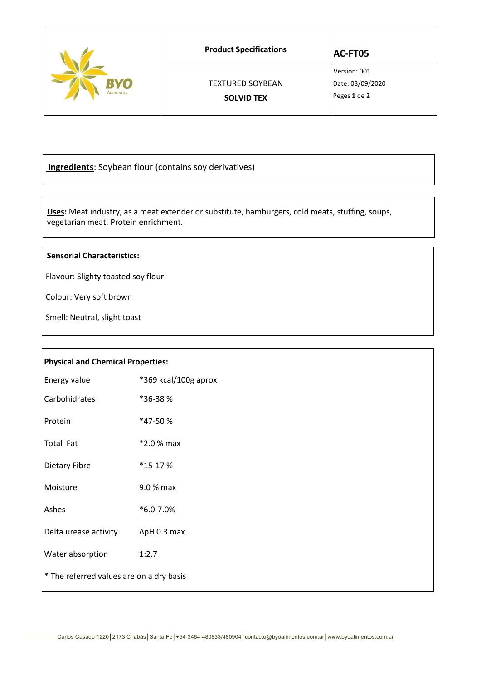|           | <b>Product Specifications</b> | AC-FT05                          |
|-----------|-------------------------------|----------------------------------|
| Vo        | <b>TEXTURED SOYBEAN</b>       | Version: 001<br>Date: 03/09/2020 |
| Alimentos | <b>SOLVID TEX</b>             | Peges 1 de 2                     |

**Ingredients**: Soybean flour (contains soy derivatives)

 **Uses:** Meat industry, as a meat extender or substitute, hamburgers, cold meats, stuffing, soups, vegetarian meat. Protein enrichment.

## **Sensorial Characteristics:**

Flavour: Slighty toasted soy flour

Colour: Very soft brown

Smell: Neutral, slight toast

| <b>Physical and Chemical Properties:</b> |                      |  |  |
|------------------------------------------|----------------------|--|--|
| Energy value                             | *369 kcal/100g aprox |  |  |
| Carbohidrates                            | *36-38%              |  |  |
| Protein                                  | *47-50%              |  |  |
| Total Fat                                | $*2.0%$ max          |  |  |
| Dietary Fibre                            | *15-17%              |  |  |
| Moisture                                 | 9.0 % max            |  |  |
| Ashes                                    | *6.0-7.0%            |  |  |
| Delta urease activity                    | $\Delta$ pH 0.3 max  |  |  |
| Water absorption                         | 1:2.7                |  |  |
| * The referred values are on a dry basis |                      |  |  |